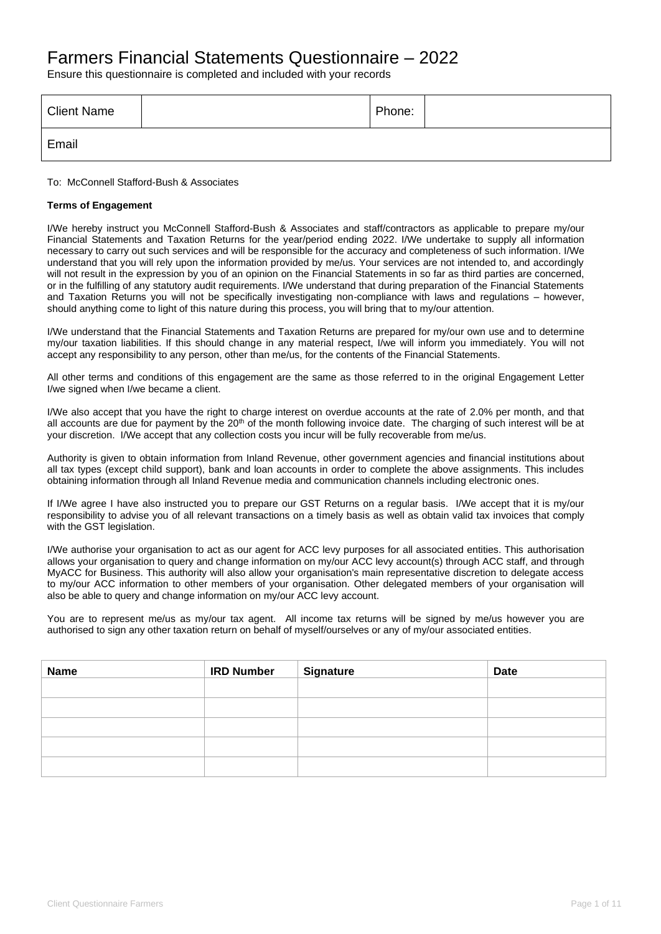# Farmers Financial Statements Questionnaire – 2022

Ensure this questionnaire is completed and included with your records

| <b>Client Name</b> | Phone: |  |
|--------------------|--------|--|
| Email              |        |  |

To: McConnell Stafford-Bush & Associates

#### **Terms of Engagement**

I/We hereby instruct you McConnell Stafford-Bush & Associates and staff/contractors as applicable to prepare my/our Financial Statements and Taxation Returns for the year/period ending 2022. I/We undertake to supply all information necessary to carry out such services and will be responsible for the accuracy and completeness of such information. I/We understand that you will rely upon the information provided by me/us. Your services are not intended to, and accordingly will not result in the expression by you of an opinion on the Financial Statements in so far as third parties are concerned, or in the fulfilling of any statutory audit requirements. I/We understand that during preparation of the Financial Statements and Taxation Returns you will not be specifically investigating non-compliance with laws and regulations – however, should anything come to light of this nature during this process, you will bring that to my/our attention.

I/We understand that the Financial Statements and Taxation Returns are prepared for my/our own use and to determine my/our taxation liabilities. If this should change in any material respect, I/we will inform you immediately. You will not accept any responsibility to any person, other than me/us, for the contents of the Financial Statements.

All other terms and conditions of this engagement are the same as those referred to in the original Engagement Letter I/we signed when I/we became a client.

I/We also accept that you have the right to charge interest on overdue accounts at the rate of 2.0% per month, and that all accounts are due for payment by the  $20<sup>th</sup>$  of the month following invoice date. The charging of such interest will be at your discretion. I/We accept that any collection costs you incur will be fully recoverable from me/us.

Authority is given to obtain information from Inland Revenue, other government agencies and financial institutions about all tax types (except child support), bank and loan accounts in order to complete the above assignments. This includes obtaining information through all Inland Revenue media and communication channels including electronic ones.

If I/We agree I have also instructed you to prepare our GST Returns on a regular basis. I/We accept that it is my/our responsibility to advise you of all relevant transactions on a timely basis as well as obtain valid tax invoices that comply with the GST legislation.

I/We authorise your organisation to act as our agent for ACC levy purposes for all associated entities. This authorisation allows your organisation to query and change information on my/our ACC levy account(s) through ACC staff, and through MyACC for Business. This authority will also allow your organisation's main representative discretion to delegate access to my/our ACC information to other members of your organisation. Other delegated members of your organisation will also be able to query and change information on my/our ACC levy account.

You are to represent me/us as my/our tax agent. All income tax returns will be signed by me/us however you are authorised to sign any other taxation return on behalf of myself/ourselves or any of my/our associated entities.

| Name | <b>IRD Number</b> | <b>Signature</b> | <b>Date</b> |
|------|-------------------|------------------|-------------|
|      |                   |                  |             |
|      |                   |                  |             |
|      |                   |                  |             |
|      |                   |                  |             |
|      |                   |                  |             |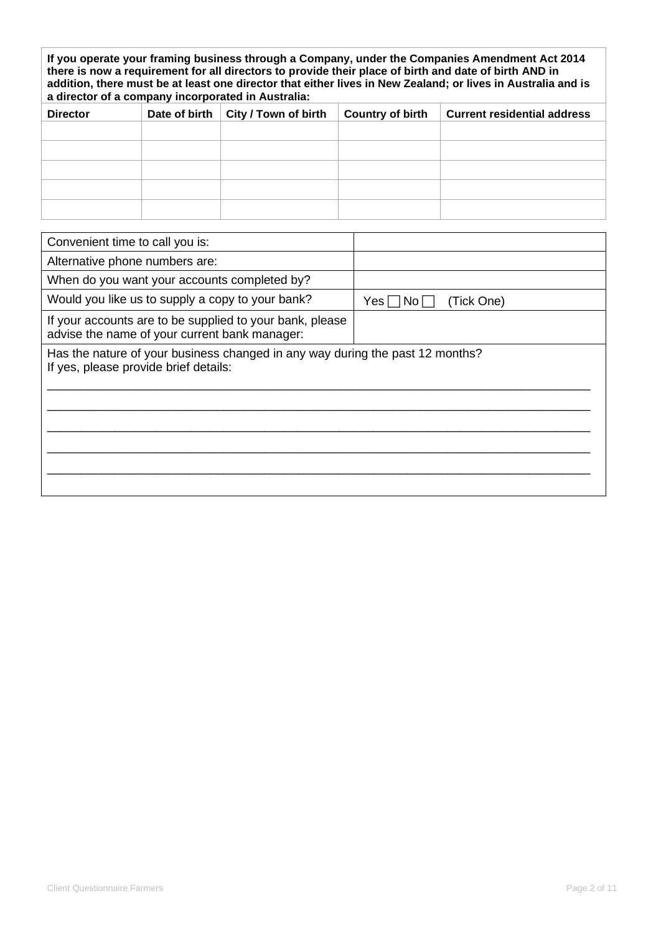| If you operate your framing business through a Company, under the Companies Amendment Act 2014<br>there is now a requirement for all directors to provide their place of birth and date of birth AND in<br>addition, there must be at least one director that either lives in New Zealand; or lives in Australia and is<br>a director of a company incorporated in Australia: |               |                      |                         |                                    |
|-------------------------------------------------------------------------------------------------------------------------------------------------------------------------------------------------------------------------------------------------------------------------------------------------------------------------------------------------------------------------------|---------------|----------------------|-------------------------|------------------------------------|
| <b>Director</b>                                                                                                                                                                                                                                                                                                                                                               | Date of birth | City / Town of birth | <b>Country of birth</b> | <b>Current residential address</b> |
|                                                                                                                                                                                                                                                                                                                                                                               |               |                      |                         |                                    |
|                                                                                                                                                                                                                                                                                                                                                                               |               |                      |                         |                                    |
|                                                                                                                                                                                                                                                                                                                                                                               |               |                      |                         |                                    |
|                                                                                                                                                                                                                                                                                                                                                                               |               |                      |                         |                                    |
|                                                                                                                                                                                                                                                                                                                                                                               |               |                      |                         |                                    |

| Convenient time to call you is:                                                                                        |                          |
|------------------------------------------------------------------------------------------------------------------------|--------------------------|
| Alternative phone numbers are:                                                                                         |                          |
| When do you want your accounts completed by?                                                                           |                          |
| Would you like us to supply a copy to your bank?                                                                       | (Tick One)<br>Yesl<br>No |
| If your accounts are to be supplied to your bank, please<br>advise the name of your current bank manager:              |                          |
| Has the nature of your business changed in any way during the past 12 months?<br>If yes, please provide brief details: |                          |
|                                                                                                                        |                          |
|                                                                                                                        |                          |
|                                                                                                                        |                          |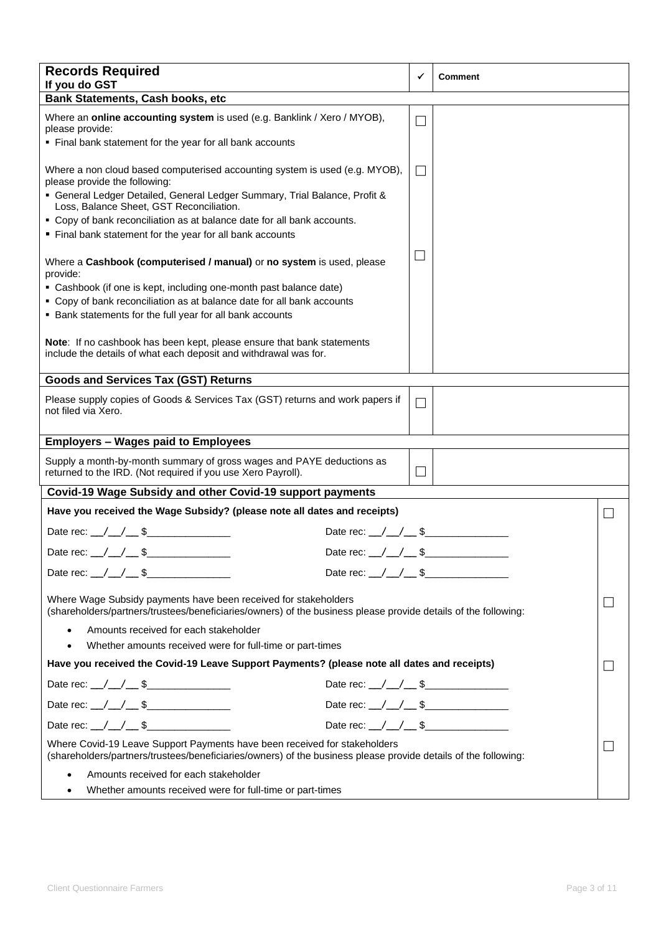| <b>Records Required</b><br>If you do GST                                                                                                                                                                                               |                                         | ✓                           | <b>Comment</b> |  |
|----------------------------------------------------------------------------------------------------------------------------------------------------------------------------------------------------------------------------------------|-----------------------------------------|-----------------------------|----------------|--|
| <b>Bank Statements, Cash books, etc</b>                                                                                                                                                                                                |                                         |                             |                |  |
| Where an online accounting system is used (e.g. Banklink / Xero / MYOB),<br>please provide:<br>• Final bank statement for the year for all bank accounts                                                                               |                                         | $\mathcal{L}$               |                |  |
| Where a non cloud based computerised accounting system is used (e.g. MYOB),<br>please provide the following:<br>• General Ledger Detailed, General Ledger Summary, Trial Balance, Profit &<br>Loss, Balance Sheet, GST Reconciliation. |                                         | $\mathcal{L}_{\mathcal{A}}$ |                |  |
| • Copy of bank reconciliation as at balance date for all bank accounts.                                                                                                                                                                |                                         |                             |                |  |
| " Final bank statement for the year for all bank accounts<br>Where a Cashbook (computerised / manual) or no system is used, please                                                                                                     |                                         | $\vert \ \ \vert$           |                |  |
| provide:<br>• Cashbook (if one is kept, including one-month past balance date)<br>• Copy of bank reconciliation as at balance date for all bank accounts<br>• Bank statements for the full year for all bank accounts                  |                                         |                             |                |  |
| Note: If no cashbook has been kept, please ensure that bank statements<br>include the details of what each deposit and withdrawal was for.                                                                                             |                                         |                             |                |  |
| <b>Goods and Services Tax (GST) Returns</b>                                                                                                                                                                                            |                                         |                             |                |  |
| Please supply copies of Goods & Services Tax (GST) returns and work papers if<br>not filed via Xero.                                                                                                                                   |                                         | $\Box$                      |                |  |
| <b>Employers - Wages paid to Employees</b>                                                                                                                                                                                             |                                         |                             |                |  |
| Supply a month-by-month summary of gross wages and PAYE deductions as<br>returned to the IRD. (Not required if you use Xero Payroll).                                                                                                  |                                         | $\mathcal{L}$               |                |  |
| Covid-19 Wage Subsidy and other Covid-19 support payments                                                                                                                                                                              |                                         |                             |                |  |
| Have you received the Wage Subsidy? (please note all dates and receipts)                                                                                                                                                               |                                         |                             |                |  |
| Date rec: \_/ \_/ \__ \$                                                                                                                                                                                                               | Date rec: $\angle$ / $\angle$ \$        |                             |                |  |
| Date rec: $_{\_}/_{\_}/_{\_}$ \$                                                                                                                                                                                                       | Date rec: $_{\_}/_{\_}/_{\_}$ \$        |                             |                |  |
| Date rec: \_/ \_/ \_ \$                                                                                                                                                                                                                |                                         |                             |                |  |
| Where Wage Subsidy payments have been received for stakeholders<br>(shareholders/partners/trustees/beneficiaries/owners) of the business please provide details of the following:                                                      |                                         |                             |                |  |
| Amounts received for each stakeholder<br>$\bullet$                                                                                                                                                                                     |                                         |                             |                |  |
| Whether amounts received were for full-time or part-times<br>$\bullet$                                                                                                                                                                 |                                         |                             |                |  |
| Have you received the Covid-19 Leave Support Payments? (please note all dates and receipts)                                                                                                                                            |                                         |                             |                |  |
| Date rec: $\angle$ / $\angle$ \$                                                                                                                                                                                                       | Date rec: $\angle$ / $\angle$ \$        |                             |                |  |
| Date rec: \_/ \_/ \_ \$                                                                                                                                                                                                                | Date rec: / / / \$                      |                             |                |  |
| Date rec: \_/ \_/ \__ \$\_______________                                                                                                                                                                                               | Date rec: $\angle$ $\angle$ $\angle$ \$ |                             |                |  |
| Where Covid-19 Leave Support Payments have been received for stakeholders<br>(shareholders/partners/trustees/beneficiaries/owners) of the business please provide details of the following:                                            |                                         |                             |                |  |
| Amounts received for each stakeholder<br>$\bullet$<br>Whether amounts received were for full-time or part-times<br>٠                                                                                                                   |                                         |                             |                |  |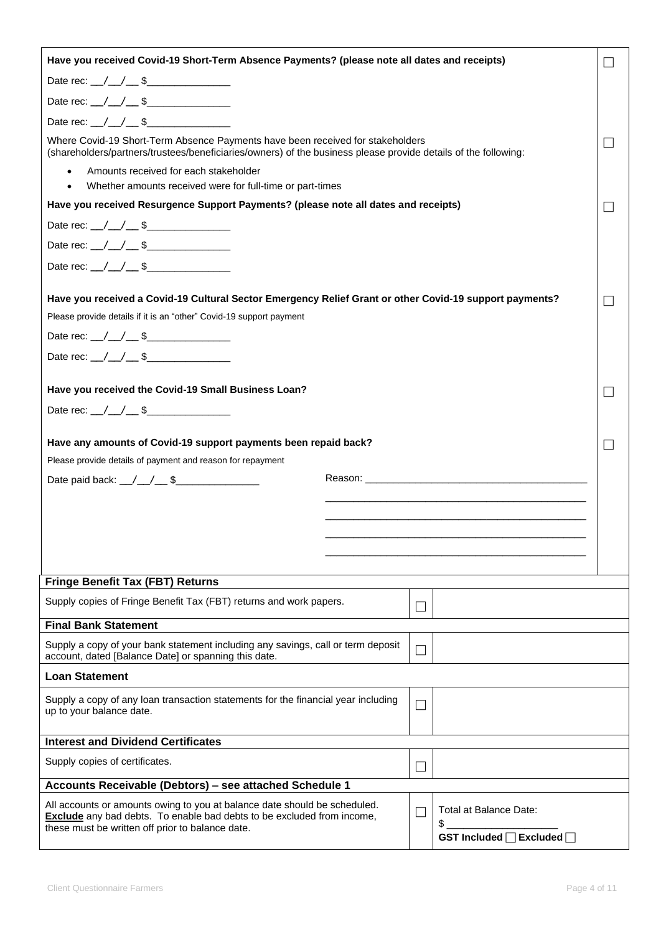| Have you received Covid-19 Short-Term Absence Payments? (please note all dates and receipts)                                                                                                     |        |                              |  |
|--------------------------------------------------------------------------------------------------------------------------------------------------------------------------------------------------|--------|------------------------------|--|
| Date rec: $\angle$ / $\angle$ \$                                                                                                                                                                 |        |                              |  |
|                                                                                                                                                                                                  |        |                              |  |
|                                                                                                                                                                                                  |        |                              |  |
| Where Covid-19 Short-Term Absence Payments have been received for stakeholders<br>(shareholders/partners/trustees/beneficiaries/owners) of the business please provide details of the following: |        |                              |  |
| Amounts received for each stakeholder<br>$\bullet$                                                                                                                                               |        |                              |  |
| Whether amounts received were for full-time or part-times                                                                                                                                        |        |                              |  |
| Have you received Resurgence Support Payments? (please note all dates and receipts)                                                                                                              |        |                              |  |
|                                                                                                                                                                                                  |        |                              |  |
| Date rec: \_/ \_/ \_ \$                                                                                                                                                                          |        |                              |  |
|                                                                                                                                                                                                  |        |                              |  |
| Have you received a Covid-19 Cultural Sector Emergency Relief Grant or other Covid-19 support payments?                                                                                          |        |                              |  |
| Please provide details if it is an "other" Covid-19 support payment                                                                                                                              |        |                              |  |
| Date rec: \_/ \_/ \_ \$                                                                                                                                                                          |        |                              |  |
| Date rec: $/$ / $\sqrt{ }$ \$                                                                                                                                                                    |        |                              |  |
|                                                                                                                                                                                                  |        |                              |  |
| Have you received the Covid-19 Small Business Loan?                                                                                                                                              |        |                              |  |
| Date rec: $\angle$ / $\angle$ \$                                                                                                                                                                 |        |                              |  |
| Have any amounts of Covid-19 support payments been repaid back?                                                                                                                                  |        |                              |  |
| Please provide details of payment and reason for repayment                                                                                                                                       |        |                              |  |
|                                                                                                                                                                                                  |        |                              |  |
|                                                                                                                                                                                                  |        |                              |  |
|                                                                                                                                                                                                  |        |                              |  |
|                                                                                                                                                                                                  |        |                              |  |
|                                                                                                                                                                                                  |        |                              |  |
| <b>Fringe Benefit Tax (FBT) Returns</b>                                                                                                                                                          |        |                              |  |
| Supply copies of Fringe Benefit Tax (FBT) returns and work papers.                                                                                                                               |        |                              |  |
| <b>Final Bank Statement</b>                                                                                                                                                                      | $\Box$ |                              |  |
|                                                                                                                                                                                                  |        |                              |  |
| Supply a copy of your bank statement including any savings, call or term deposit<br>account, dated [Balance Date] or spanning this date.                                                         | $\Box$ |                              |  |
| <b>Loan Statement</b>                                                                                                                                                                            |        |                              |  |
| Supply a copy of any loan transaction statements for the financial year including                                                                                                                | $\Box$ |                              |  |
| up to your balance date.                                                                                                                                                                         |        |                              |  |
| <b>Interest and Dividend Certificates</b>                                                                                                                                                        |        |                              |  |
| Supply copies of certificates.                                                                                                                                                                   |        |                              |  |
| Accounts Receivable (Debtors) - see attached Schedule 1                                                                                                                                          |        |                              |  |
|                                                                                                                                                                                                  |        |                              |  |
| All accounts or amounts owing to you at balance date should be scheduled.<br><b>Exclude</b> any bad debts. To enable bad debts to be excluded from income,                                       | П      | Total at Balance Date:<br>\$ |  |
| these must be written off prior to balance date.                                                                                                                                                 |        | GST Included □ Excluded □    |  |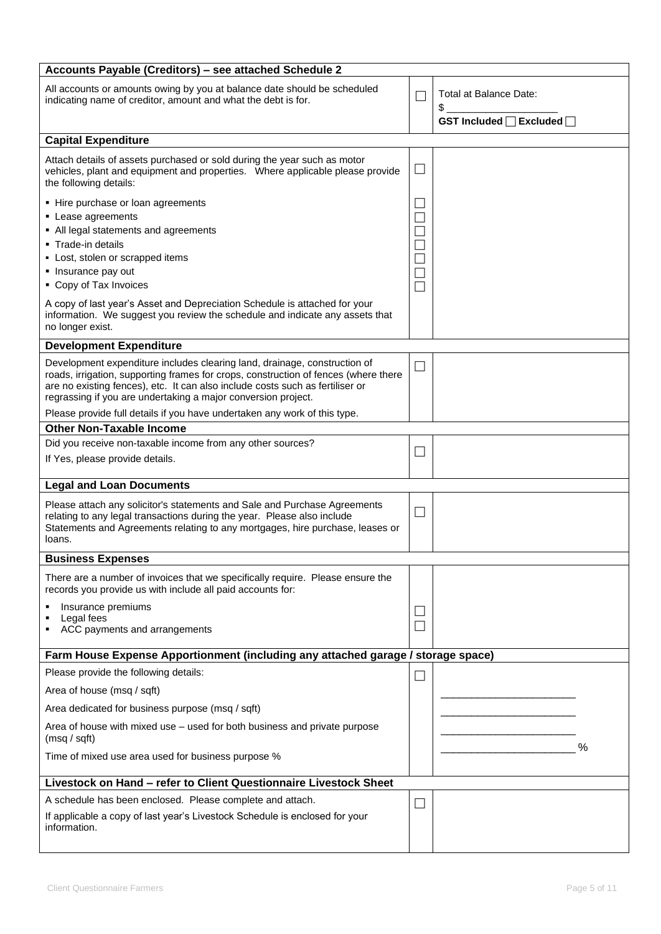| Accounts Payable (Creditors) - see attached Schedule 2                                                                                                                                                                                                                                                             |                          |                              |
|--------------------------------------------------------------------------------------------------------------------------------------------------------------------------------------------------------------------------------------------------------------------------------------------------------------------|--------------------------|------------------------------|
| All accounts or amounts owing by you at balance date should be scheduled<br>indicating name of creditor, amount and what the debt is for.                                                                                                                                                                          | П                        | Total at Balance Date:<br>\$ |
|                                                                                                                                                                                                                                                                                                                    |                          | GST Included □ Excluded □    |
| <b>Capital Expenditure</b>                                                                                                                                                                                                                                                                                         |                          |                              |
| Attach details of assets purchased or sold during the year such as motor<br>vehicles, plant and equipment and properties.  Where applicable please provide<br>the following details:                                                                                                                               | $\mathbf{L}$             |                              |
| • Hire purchase or loan agreements<br>• Lease agreements<br>• All legal statements and agreements<br>• Trade-in details<br>- Lost, stolen or scrapped items<br>• Insurance pay out<br>• Copy of Tax Invoices                                                                                                       | $\Box$<br>П              |                              |
| A copy of last year's Asset and Depreciation Schedule is attached for your<br>information. We suggest you review the schedule and indicate any assets that<br>no longer exist.                                                                                                                                     |                          |                              |
| <b>Development Expenditure</b>                                                                                                                                                                                                                                                                                     |                          |                              |
| Development expenditure includes clearing land, drainage, construction of<br>roads, irrigation, supporting frames for crops, construction of fences (where there<br>are no existing fences), etc. It can also include costs such as fertiliser or<br>regrassing if you are undertaking a major conversion project. | $\mathbf{I}$             |                              |
| Please provide full details if you have undertaken any work of this type.                                                                                                                                                                                                                                          |                          |                              |
| <b>Other Non-Taxable Income</b>                                                                                                                                                                                                                                                                                    |                          |                              |
| Did you receive non-taxable income from any other sources?<br>If Yes, please provide details.                                                                                                                                                                                                                      | $\mathsf{L}$             |                              |
| <b>Legal and Loan Documents</b>                                                                                                                                                                                                                                                                                    |                          |                              |
| Please attach any solicitor's statements and Sale and Purchase Agreements<br>relating to any legal transactions during the year. Please also include<br>Statements and Agreements relating to any mortgages, hire purchase, leases or<br>loans.                                                                    | $\sqcup$                 |                              |
| <b>Business Expenses</b>                                                                                                                                                                                                                                                                                           |                          |                              |
| There are a number of invoices that we specifically require. Please ensure the<br>records you provide us with include all paid accounts for:                                                                                                                                                                       |                          |                              |
| Insurance premiums<br>Legal fees<br>п<br>ACC payments and arrangements                                                                                                                                                                                                                                             |                          |                              |
| Farm House Expense Apportionment (including any attached garage / storage space)                                                                                                                                                                                                                                   |                          |                              |
| Please provide the following details:                                                                                                                                                                                                                                                                              | $\overline{\phantom{0}}$ |                              |
| Area of house (msq / sqft)                                                                                                                                                                                                                                                                                         |                          |                              |
| Area dedicated for business purpose (msq / sqft)                                                                                                                                                                                                                                                                   |                          |                              |
| Area of house with mixed use - used for both business and private purpose<br>(msq / sqft)                                                                                                                                                                                                                          |                          |                              |
| Time of mixed use area used for business purpose %                                                                                                                                                                                                                                                                 |                          | $\%$                         |
| Livestock on Hand - refer to Client Questionnaire Livestock Sheet                                                                                                                                                                                                                                                  |                          |                              |
| A schedule has been enclosed. Please complete and attach.<br>If applicable a copy of last year's Livestock Schedule is enclosed for your<br>information.                                                                                                                                                           | $\mathbf{I}$             |                              |
|                                                                                                                                                                                                                                                                                                                    |                          |                              |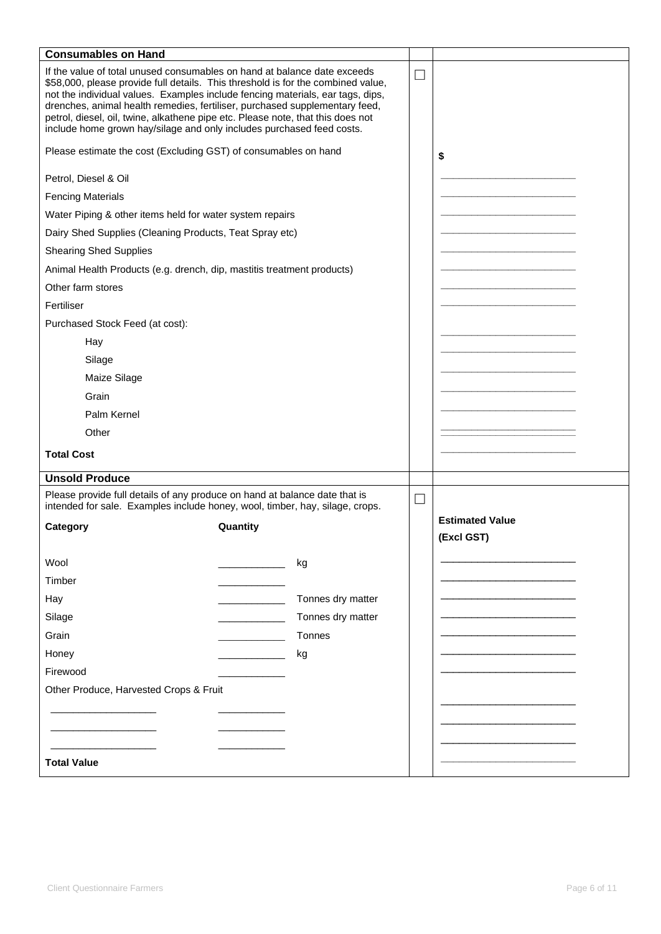| <b>Consumables on Hand</b>                                                                                                                                                                                                                                                                                                                                                                                                                                                                |                   |                          |                        |
|-------------------------------------------------------------------------------------------------------------------------------------------------------------------------------------------------------------------------------------------------------------------------------------------------------------------------------------------------------------------------------------------------------------------------------------------------------------------------------------------|-------------------|--------------------------|------------------------|
| If the value of total unused consumables on hand at balance date exceeds<br>\$58,000, please provide full details. This threshold is for the combined value,<br>not the individual values. Examples include fencing materials, ear tags, dips,<br>drenches, animal health remedies, fertiliser, purchased supplementary feed,<br>petrol, diesel, oil, twine, alkathene pipe etc. Please note, that this does not<br>include home grown hay/silage and only includes purchased feed costs. |                   |                          |                        |
| Please estimate the cost (Excluding GST) of consumables on hand                                                                                                                                                                                                                                                                                                                                                                                                                           |                   |                          | \$                     |
| Petrol, Diesel & Oil                                                                                                                                                                                                                                                                                                                                                                                                                                                                      |                   |                          |                        |
| <b>Fencing Materials</b>                                                                                                                                                                                                                                                                                                                                                                                                                                                                  |                   |                          |                        |
| Water Piping & other items held for water system repairs                                                                                                                                                                                                                                                                                                                                                                                                                                  |                   |                          |                        |
| Dairy Shed Supplies (Cleaning Products, Teat Spray etc)                                                                                                                                                                                                                                                                                                                                                                                                                                   |                   |                          |                        |
| <b>Shearing Shed Supplies</b>                                                                                                                                                                                                                                                                                                                                                                                                                                                             |                   |                          |                        |
| Animal Health Products (e.g. drench, dip, mastitis treatment products)                                                                                                                                                                                                                                                                                                                                                                                                                    |                   |                          |                        |
| Other farm stores                                                                                                                                                                                                                                                                                                                                                                                                                                                                         |                   |                          |                        |
| Fertiliser                                                                                                                                                                                                                                                                                                                                                                                                                                                                                |                   |                          |                        |
| Purchased Stock Feed (at cost):                                                                                                                                                                                                                                                                                                                                                                                                                                                           |                   |                          |                        |
| Hay                                                                                                                                                                                                                                                                                                                                                                                                                                                                                       |                   |                          |                        |
| Silage                                                                                                                                                                                                                                                                                                                                                                                                                                                                                    |                   |                          |                        |
| Maize Silage                                                                                                                                                                                                                                                                                                                                                                                                                                                                              |                   |                          |                        |
| Grain                                                                                                                                                                                                                                                                                                                                                                                                                                                                                     |                   |                          |                        |
| Palm Kernel                                                                                                                                                                                                                                                                                                                                                                                                                                                                               |                   |                          |                        |
| Other                                                                                                                                                                                                                                                                                                                                                                                                                                                                                     |                   |                          |                        |
| <b>Total Cost</b>                                                                                                                                                                                                                                                                                                                                                                                                                                                                         |                   |                          |                        |
| <b>Unsold Produce</b>                                                                                                                                                                                                                                                                                                                                                                                                                                                                     |                   |                          |                        |
| Please provide full details of any produce on hand at balance date that is<br>intended for sale. Examples include honey, wool, timber, hay, silage, crops.                                                                                                                                                                                                                                                                                                                                |                   | $\overline{\phantom{0}}$ |                        |
| Category                                                                                                                                                                                                                                                                                                                                                                                                                                                                                  | Quantity          |                          | <b>Estimated Value</b> |
|                                                                                                                                                                                                                                                                                                                                                                                                                                                                                           |                   |                          | (Excl GST)             |
| Wool                                                                                                                                                                                                                                                                                                                                                                                                                                                                                      | kg                |                          |                        |
| Timber                                                                                                                                                                                                                                                                                                                                                                                                                                                                                    |                   |                          |                        |
| Hay                                                                                                                                                                                                                                                                                                                                                                                                                                                                                       | Tonnes dry matter |                          |                        |
| Silage                                                                                                                                                                                                                                                                                                                                                                                                                                                                                    | Tonnes dry matter |                          |                        |
| Grain                                                                                                                                                                                                                                                                                                                                                                                                                                                                                     | Tonnes            |                          |                        |
| Honey                                                                                                                                                                                                                                                                                                                                                                                                                                                                                     | kg                |                          |                        |
| Firewood                                                                                                                                                                                                                                                                                                                                                                                                                                                                                  |                   |                          |                        |
| Other Produce, Harvested Crops & Fruit                                                                                                                                                                                                                                                                                                                                                                                                                                                    |                   |                          |                        |
|                                                                                                                                                                                                                                                                                                                                                                                                                                                                                           |                   |                          |                        |
|                                                                                                                                                                                                                                                                                                                                                                                                                                                                                           |                   |                          |                        |
|                                                                                                                                                                                                                                                                                                                                                                                                                                                                                           |                   |                          |                        |
| <b>Total Value</b>                                                                                                                                                                                                                                                                                                                                                                                                                                                                        |                   |                          |                        |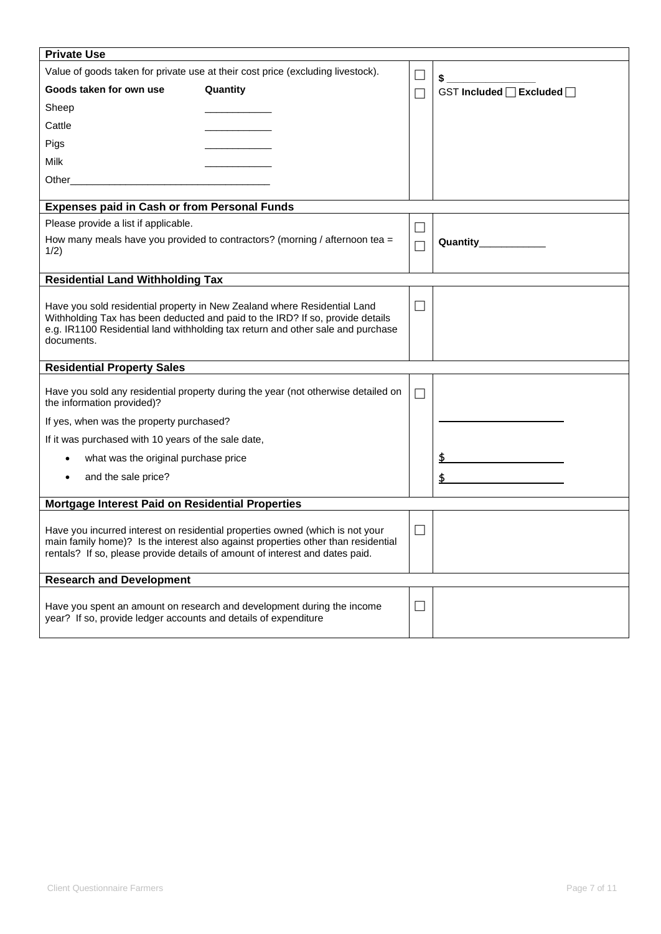| <b>Private Use</b>                                                                                                                                                                                                                                         |                                                                             |        |                           |
|------------------------------------------------------------------------------------------------------------------------------------------------------------------------------------------------------------------------------------------------------------|-----------------------------------------------------------------------------|--------|---------------------------|
| Value of goods taken for private use at their cost price (excluding livestock).                                                                                                                                                                            |                                                                             |        | \$                        |
| Goods taken for own use                                                                                                                                                                                                                                    | Quantity                                                                    | П      | GST Included □ Excluded □ |
| Sheep                                                                                                                                                                                                                                                      |                                                                             |        |                           |
| Cattle                                                                                                                                                                                                                                                     |                                                                             |        |                           |
| Pigs                                                                                                                                                                                                                                                       |                                                                             |        |                           |
| Milk                                                                                                                                                                                                                                                       |                                                                             |        |                           |
| Other<br><u> 1980 - Johann Barbara, martin amerikan basal dan berasal dalam basal dalam basal dalam basal dalam basal dala</u>                                                                                                                             |                                                                             |        |                           |
|                                                                                                                                                                                                                                                            |                                                                             |        |                           |
| <b>Expenses paid in Cash or from Personal Funds</b>                                                                                                                                                                                                        |                                                                             |        |                           |
| Please provide a list if applicable.                                                                                                                                                                                                                       |                                                                             | $\Box$ |                           |
| 1/2)                                                                                                                                                                                                                                                       | How many meals have you provided to contractors? (morning / afternoon tea = |        | Quantity_____________     |
|                                                                                                                                                                                                                                                            |                                                                             |        |                           |
| <b>Residential Land Withholding Tax</b>                                                                                                                                                                                                                    |                                                                             |        |                           |
| Have you sold residential property in New Zealand where Residential Land<br>Withholding Tax has been deducted and paid to the IRD? If so, provide details<br>e.g. IR1100 Residential land withholding tax return and other sale and purchase<br>documents. |                                                                             | $\Box$ |                           |
| <b>Residential Property Sales</b>                                                                                                                                                                                                                          |                                                                             |        |                           |
| Have you sold any residential property during the year (not otherwise detailed on<br>the information provided)?                                                                                                                                            |                                                                             | П      |                           |
| If yes, when was the property purchased?                                                                                                                                                                                                                   |                                                                             |        |                           |
| If it was purchased with 10 years of the sale date,                                                                                                                                                                                                        |                                                                             |        |                           |
| what was the original purchase price<br>٠                                                                                                                                                                                                                  |                                                                             |        |                           |
| and the sale price?                                                                                                                                                                                                                                        |                                                                             |        |                           |
|                                                                                                                                                                                                                                                            |                                                                             |        |                           |
| Mortgage Interest Paid on Residential Properties                                                                                                                                                                                                           |                                                                             |        |                           |
| Have you incurred interest on residential properties owned (which is not your<br>main family home)? Is the interest also against properties other than residential<br>rentals? If so, please provide details of amount of interest and dates paid.         |                                                                             |        |                           |
| <b>Research and Development</b>                                                                                                                                                                                                                            |                                                                             |        |                           |
| year? If so, provide ledger accounts and details of expenditure                                                                                                                                                                                            | Have you spent an amount on research and development during the income      | $\Box$ |                           |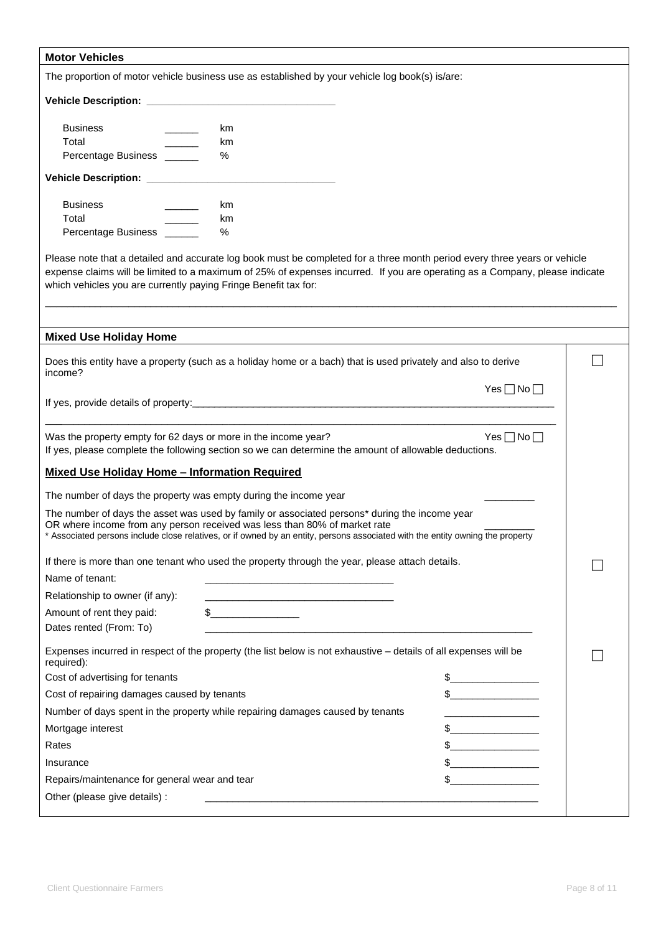| <b>Motor Vehicles</b>                         |                                                                                                                                                                                                                                                                                                                             |  |
|-----------------------------------------------|-----------------------------------------------------------------------------------------------------------------------------------------------------------------------------------------------------------------------------------------------------------------------------------------------------------------------------|--|
|                                               | The proportion of motor vehicle business use as established by your vehicle log book(s) is/are:                                                                                                                                                                                                                             |  |
|                                               |                                                                                                                                                                                                                                                                                                                             |  |
| <b>Business</b>                               | km                                                                                                                                                                                                                                                                                                                          |  |
| Total                                         | km                                                                                                                                                                                                                                                                                                                          |  |
| Percentage Business ______                    | $\%$                                                                                                                                                                                                                                                                                                                        |  |
|                                               |                                                                                                                                                                                                                                                                                                                             |  |
| <b>Business</b>                               | km                                                                                                                                                                                                                                                                                                                          |  |
| Total                                         | km                                                                                                                                                                                                                                                                                                                          |  |
| Percentage Business _____                     | $\%$                                                                                                                                                                                                                                                                                                                        |  |
|                                               | Please note that a detailed and accurate log book must be completed for a three month period every three years or vehicle<br>expense claims will be limited to a maximum of 25% of expenses incurred. If you are operating as a Company, please indicate<br>which vehicles you are currently paying Fringe Benefit tax for: |  |
| <b>Mixed Use Holiday Home</b>                 |                                                                                                                                                                                                                                                                                                                             |  |
|                                               | Does this entity have a property (such as a holiday home or a bach) that is used privately and also to derive                                                                                                                                                                                                               |  |
| income?                                       |                                                                                                                                                                                                                                                                                                                             |  |
|                                               | $Yes \Box No \Box$                                                                                                                                                                                                                                                                                                          |  |
|                                               |                                                                                                                                                                                                                                                                                                                             |  |
|                                               | Yes $\Box$ No $\Box$<br>Was the property empty for 62 days or more in the income year?<br>If yes, please complete the following section so we can determine the amount of allowable deductions.                                                                                                                             |  |
|                                               | <b>Mixed Use Holiday Home - Information Required</b>                                                                                                                                                                                                                                                                        |  |
|                                               | The number of days the property was empty during the income year                                                                                                                                                                                                                                                            |  |
|                                               | The number of days the asset was used by family or associated persons* during the income year<br>OR where income from any person received was less than 80% of market rate<br>* Associated persons include close relatives, or if owned by an entity, persons associated with the entity owning the property                |  |
|                                               | If there is more than one tenant who used the property through the year, please attach details.                                                                                                                                                                                                                             |  |
| Name of tenant:                               |                                                                                                                                                                                                                                                                                                                             |  |
| Relationship to owner (if any):               | <u> 1989 - Johann Stein, mars an deus Amerikaansk kommunister (</u>                                                                                                                                                                                                                                                         |  |
| Amount of rent they paid:                     | $\frac{1}{2}$                                                                                                                                                                                                                                                                                                               |  |
| Dates rented (From: To)                       |                                                                                                                                                                                                                                                                                                                             |  |
| required):                                    | Expenses incurred in respect of the property (the list below is not exhaustive - details of all expenses will be                                                                                                                                                                                                            |  |
| Cost of advertising for tenants               | $\sim$                                                                                                                                                                                                                                                                                                                      |  |
| Cost of repairing damages caused by tenants   | $\frac{1}{2}$                                                                                                                                                                                                                                                                                                               |  |
|                                               | Number of days spent in the property while repairing damages caused by tenants                                                                                                                                                                                                                                              |  |
| Mortgage interest                             | $\mathbb S$                                                                                                                                                                                                                                                                                                                 |  |
| Rates                                         |                                                                                                                                                                                                                                                                                                                             |  |
| Insurance                                     |                                                                                                                                                                                                                                                                                                                             |  |
| Repairs/maintenance for general wear and tear | <u> 1990 - Johann Barbara, martxa</u>                                                                                                                                                                                                                                                                                       |  |
| Other (please give details) :                 |                                                                                                                                                                                                                                                                                                                             |  |
|                                               |                                                                                                                                                                                                                                                                                                                             |  |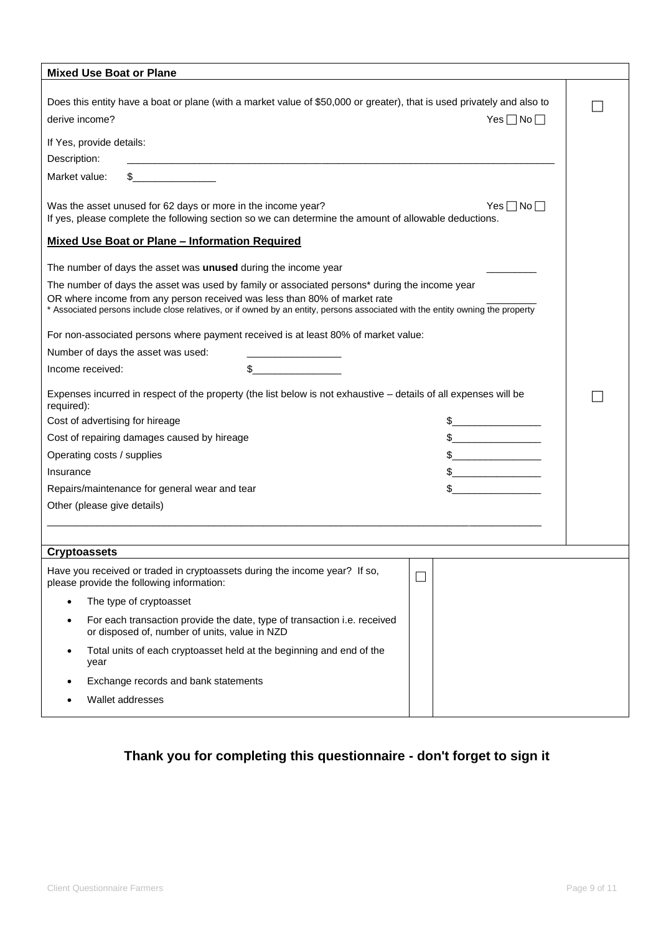| <b>Mixed Use Boat or Plane</b>                                                                                                                                                                                                                                                                               |        |                                                                                                                                                                                                                                                                                                                                                                     |  |
|--------------------------------------------------------------------------------------------------------------------------------------------------------------------------------------------------------------------------------------------------------------------------------------------------------------|--------|---------------------------------------------------------------------------------------------------------------------------------------------------------------------------------------------------------------------------------------------------------------------------------------------------------------------------------------------------------------------|--|
| Does this entity have a boat or plane (with a market value of \$50,000 or greater), that is used privately and also to<br>derive income?                                                                                                                                                                     |        | $Yes \Box No \Box$                                                                                                                                                                                                                                                                                                                                                  |  |
| If Yes, provide details:<br>Description:                                                                                                                                                                                                                                                                     |        |                                                                                                                                                                                                                                                                                                                                                                     |  |
| $\sim$<br>Market value:                                                                                                                                                                                                                                                                                      |        |                                                                                                                                                                                                                                                                                                                                                                     |  |
| Was the asset unused for 62 days or more in the income year?<br>$Yes \Box No \Box$<br>If yes, please complete the following section so we can determine the amount of allowable deductions.                                                                                                                  |        |                                                                                                                                                                                                                                                                                                                                                                     |  |
| <b>Mixed Use Boat or Plane - Information Required</b>                                                                                                                                                                                                                                                        |        |                                                                                                                                                                                                                                                                                                                                                                     |  |
| The number of days the asset was unused during the income year                                                                                                                                                                                                                                               |        |                                                                                                                                                                                                                                                                                                                                                                     |  |
| The number of days the asset was used by family or associated persons* during the income year<br>OR where income from any person received was less than 80% of market rate<br>* Associated persons include close relatives, or if owned by an entity, persons associated with the entity owning the property |        |                                                                                                                                                                                                                                                                                                                                                                     |  |
| For non-associated persons where payment received is at least 80% of market value:                                                                                                                                                                                                                           |        |                                                                                                                                                                                                                                                                                                                                                                     |  |
| Number of days the asset was used:                                                                                                                                                                                                                                                                           |        |                                                                                                                                                                                                                                                                                                                                                                     |  |
| Income received:                                                                                                                                                                                                                                                                                             | $\sim$ |                                                                                                                                                                                                                                                                                                                                                                     |  |
| Expenses incurred in respect of the property (the list below is not exhaustive - details of all expenses will be<br>required):                                                                                                                                                                               |        |                                                                                                                                                                                                                                                                                                                                                                     |  |
| Cost of advertising for hireage                                                                                                                                                                                                                                                                              |        | $\frac{1}{2}$                                                                                                                                                                                                                                                                                                                                                       |  |
| Cost of repairing damages caused by hireage                                                                                                                                                                                                                                                                  |        |                                                                                                                                                                                                                                                                                                                                                                     |  |
| Operating costs / supplies                                                                                                                                                                                                                                                                                   |        | $\begin{picture}(20,10) \put(0,0){\vector(1,0){100}} \put(15,0){\vector(1,0){100}} \put(15,0){\vector(1,0){100}} \put(15,0){\vector(1,0){100}} \put(15,0){\vector(1,0){100}} \put(15,0){\vector(1,0){100}} \put(15,0){\vector(1,0){100}} \put(15,0){\vector(1,0){100}} \put(15,0){\vector(1,0){100}} \put(15,0){\vector(1,0){100}} \put(15,0){\vector(1,0){100}} \$ |  |
| Insurance                                                                                                                                                                                                                                                                                                    |        | $\frac{1}{2}$                                                                                                                                                                                                                                                                                                                                                       |  |
| Repairs/maintenance for general wear and tear                                                                                                                                                                                                                                                                |        | \$                                                                                                                                                                                                                                                                                                                                                                  |  |
| Other (please give details)                                                                                                                                                                                                                                                                                  |        |                                                                                                                                                                                                                                                                                                                                                                     |  |
|                                                                                                                                                                                                                                                                                                              |        |                                                                                                                                                                                                                                                                                                                                                                     |  |
| <b>Cryptoassets</b>                                                                                                                                                                                                                                                                                          |        |                                                                                                                                                                                                                                                                                                                                                                     |  |
| Have you received or traded in cryptoassets during the income year? If so,<br>please provide the following information:                                                                                                                                                                                      |        | $\mathbf{L}$                                                                                                                                                                                                                                                                                                                                                        |  |
| The type of cryptoasset<br>$\bullet$                                                                                                                                                                                                                                                                         |        |                                                                                                                                                                                                                                                                                                                                                                     |  |
| For each transaction provide the date, type of transaction i.e. received<br>$\bullet$<br>or disposed of, number of units, value in NZD                                                                                                                                                                       |        |                                                                                                                                                                                                                                                                                                                                                                     |  |
| Total units of each cryptoasset held at the beginning and end of the<br>$\bullet$<br>year                                                                                                                                                                                                                    |        |                                                                                                                                                                                                                                                                                                                                                                     |  |
| Exchange records and bank statements                                                                                                                                                                                                                                                                         |        |                                                                                                                                                                                                                                                                                                                                                                     |  |
| Wallet addresses                                                                                                                                                                                                                                                                                             |        |                                                                                                                                                                                                                                                                                                                                                                     |  |
|                                                                                                                                                                                                                                                                                                              |        |                                                                                                                                                                                                                                                                                                                                                                     |  |

### **Thank you for completing this questionnaire - don't forget to sign it**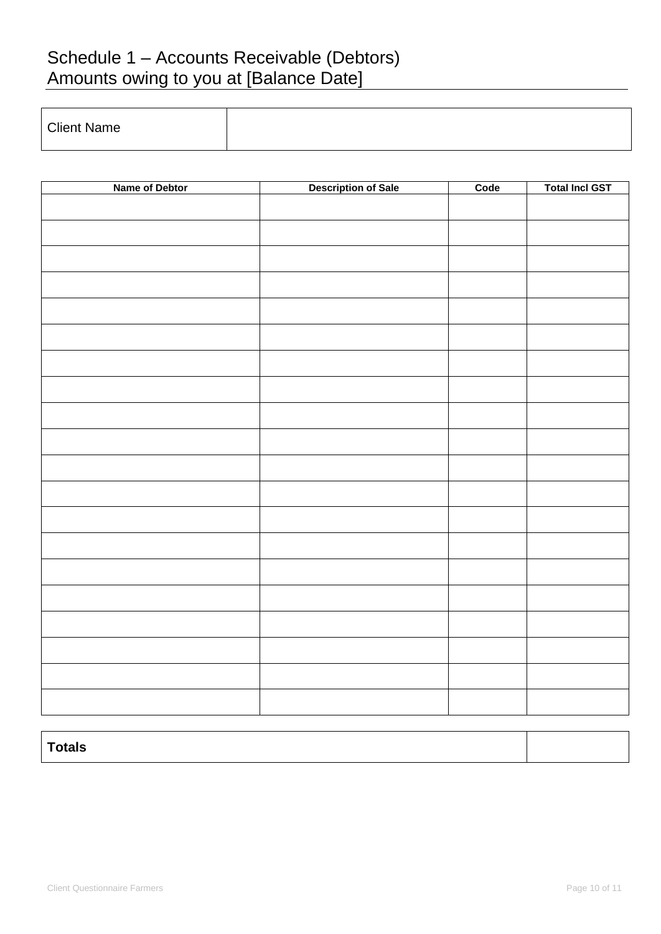# Schedule 1 – Accounts Receivable (Debtors) Amounts owing to you at [Balance Date]

| <b>Client Name</b> |  |
|--------------------|--|

| Name of Debtor | <b>Description of Sale</b> | Code | <b>Total Incl GST</b> |
|----------------|----------------------------|------|-----------------------|
|                |                            |      |                       |
|                |                            |      |                       |
|                |                            |      |                       |
|                |                            |      |                       |
|                |                            |      |                       |
|                |                            |      |                       |
|                |                            |      |                       |
|                |                            |      |                       |
|                |                            |      |                       |
|                |                            |      |                       |
|                |                            |      |                       |
|                |                            |      |                       |
|                |                            |      |                       |
|                |                            |      |                       |
|                |                            |      |                       |
|                |                            |      |                       |
|                |                            |      |                       |
|                |                            |      |                       |
|                |                            |      |                       |
|                |                            |      |                       |
|                |                            |      |                       |

| Totals |  |
|--------|--|
|        |  |
|        |  |